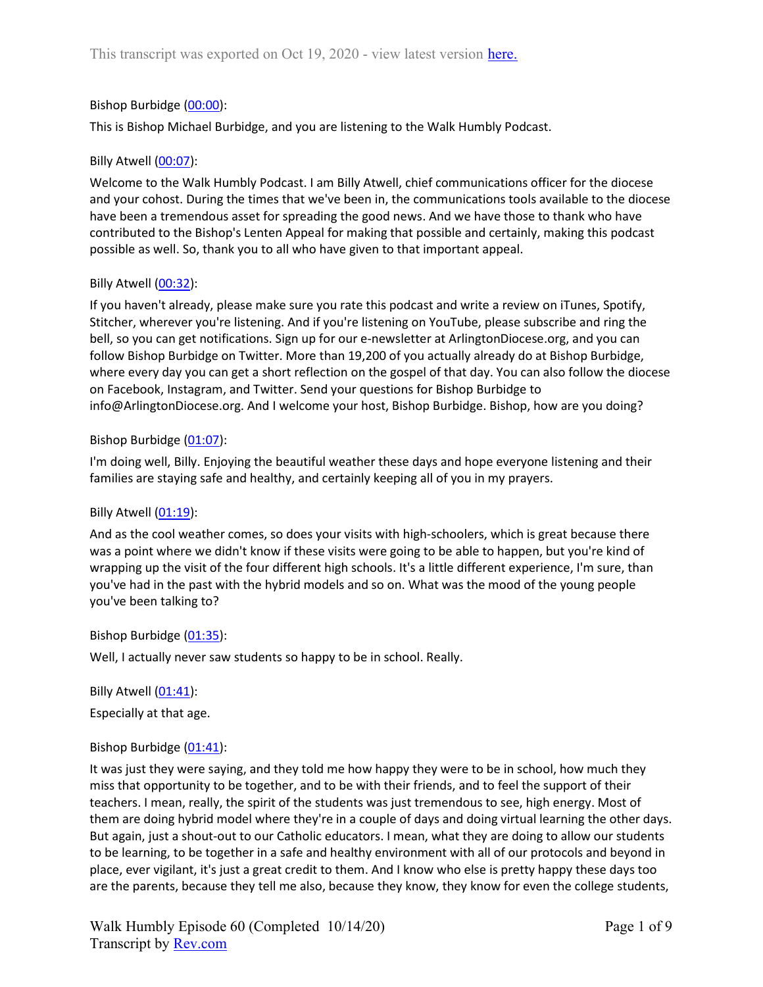# Bishop Burbidge (00:00):

This is Bishop Michael Burbidge, and you are listening to the Walk Humbly Podcast.

## Billy Atwell (00:07):

Welcome to the Walk Humbly Podcast. I am Billy Atwell, chief communications officer for the diocese and your cohost. During the times that we've been in, the communications tools available to the diocese have been a tremendous asset for spreading the good news. And we have those to thank who have contributed to the Bishop's Lenten Appeal for making that possible and certainly, making this podcast possible as well. So, thank you to all who have given to that important appeal.

## Billy Atwell (00:32):

If you haven't already, please make sure you rate this podcast and write a review on iTunes, Spotify, Stitcher, wherever you're listening. And if you're listening on YouTube, please subscribe and ring the bell, so you can get notifications. Sign up for our e-newsletter at ArlingtonDiocese.org, and you can follow Bishop Burbidge on Twitter. More than 19,200 of you actually already do at Bishop Burbidge, where every day you can get a short reflection on the gospel of that day. You can also follow the diocese on Facebook, Instagram, and Twitter. Send your questions for Bishop Burbidge to info@ArlingtonDiocese.org. And I welcome your host, Bishop Burbidge. Bishop, how are you doing?

### Bishop Burbidge (01:07):

I'm doing well, Billy. Enjoying the beautiful weather these days and hope everyone listening and their families are staying safe and healthy, and certainly keeping all of you in my prayers.

## Billy Atwell (01:19):

And as the cool weather comes, so does your visits with high-schoolers, which is great because there was a point where we didn't know if these visits were going to be able to happen, but you're kind of wrapping up the visit of the four different high schools. It's a little different experience, I'm sure, than you've had in the past with the hybrid models and so on. What was the mood of the young people you've been talking to?

## Bishop Burbidge (01:35):

Well, I actually never saw students so happy to be in school. Really.

Billy Atwell (01:41):

Especially at that age.

## Bishop Burbidge (01:41):

It was just they were saying, and they told me how happy they were to be in school, how much they miss that opportunity to be together, and to be with their friends, and to feel the support of their teachers. I mean, really, the spirit of the students was just tremendous to see, high energy. Most of them are doing hybrid model where they're in a couple of days and doing virtual learning the other days. But again, just a shout-out to our Catholic educators. I mean, what they are doing to allow our students to be learning, to be together in a safe and healthy environment with all of our protocols and beyond in place, ever vigilant, it's just a great credit to them. And I know who else is pretty happy these days too are the parents, because they tell me also, because they know, they know for even the college students,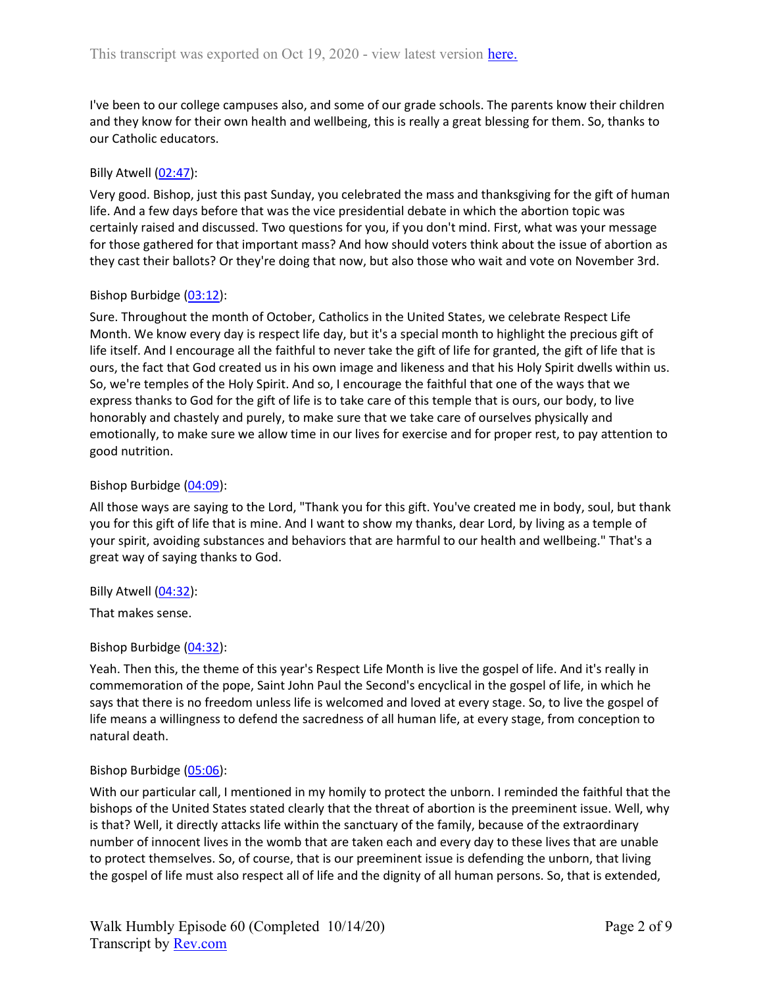I've been to our college campuses also, and some of our grade schools. The parents know their children and they know for their own health and wellbeing, this is really a great blessing for them. So, thanks to our Catholic educators.

## Billy Atwell (02:47):

Very good. Bishop, just this past Sunday, you celebrated the mass and thanksgiving for the gift of human life. And a few days before that was the vice presidential debate in which the abortion topic was certainly raised and discussed. Two questions for you, if you don't mind. First, what was your message for those gathered for that important mass? And how should voters think about the issue of abortion as they cast their ballots? Or they're doing that now, but also those who wait and vote on November 3rd.

### Bishop Burbidge (03:12):

Sure. Throughout the month of October, Catholics in the United States, we celebrate Respect Life Month. We know every day is respect life day, but it's a special month to highlight the precious gift of life itself. And I encourage all the faithful to never take the gift of life for granted, the gift of life that is ours, the fact that God created us in his own image and likeness and that his Holy Spirit dwells within us. So, we're temples of the Holy Spirit. And so, I encourage the faithful that one of the ways that we express thanks to God for the gift of life is to take care of this temple that is ours, our body, to live honorably and chastely and purely, to make sure that we take care of ourselves physically and emotionally, to make sure we allow time in our lives for exercise and for proper rest, to pay attention to good nutrition.

### Bishop Burbidge (04:09):

All those ways are saying to the Lord, "Thank you for this gift. You've created me in body, soul, but thank you for this gift of life that is mine. And I want to show my thanks, dear Lord, by living as a temple of your spirit, avoiding substances and behaviors that are harmful to our health and wellbeing." That's a great way of saying thanks to God.

Billy Atwell (04:32):

That makes sense.

## Bishop Burbidge (04:32):

Yeah. Then this, the theme of this year's Respect Life Month is live the gospel of life. And it's really in commemoration of the pope, Saint John Paul the Second's encyclical in the gospel of life, in which he says that there is no freedom unless life is welcomed and loved at every stage. So, to live the gospel of life means a willingness to defend the sacredness of all human life, at every stage, from conception to natural death.

## Bishop Burbidge (05:06):

With our particular call, I mentioned in my homily to protect the unborn. I reminded the faithful that the bishops of the United States stated clearly that the threat of abortion is the preeminent issue. Well, why is that? Well, it directly attacks life within the sanctuary of the family, because of the extraordinary number of innocent lives in the womb that are taken each and every day to these lives that are unable to protect themselves. So, of course, that is our preeminent issue is defending the unborn, that living the gospel of life must also respect all of life and the dignity of all human persons. So, that is extended,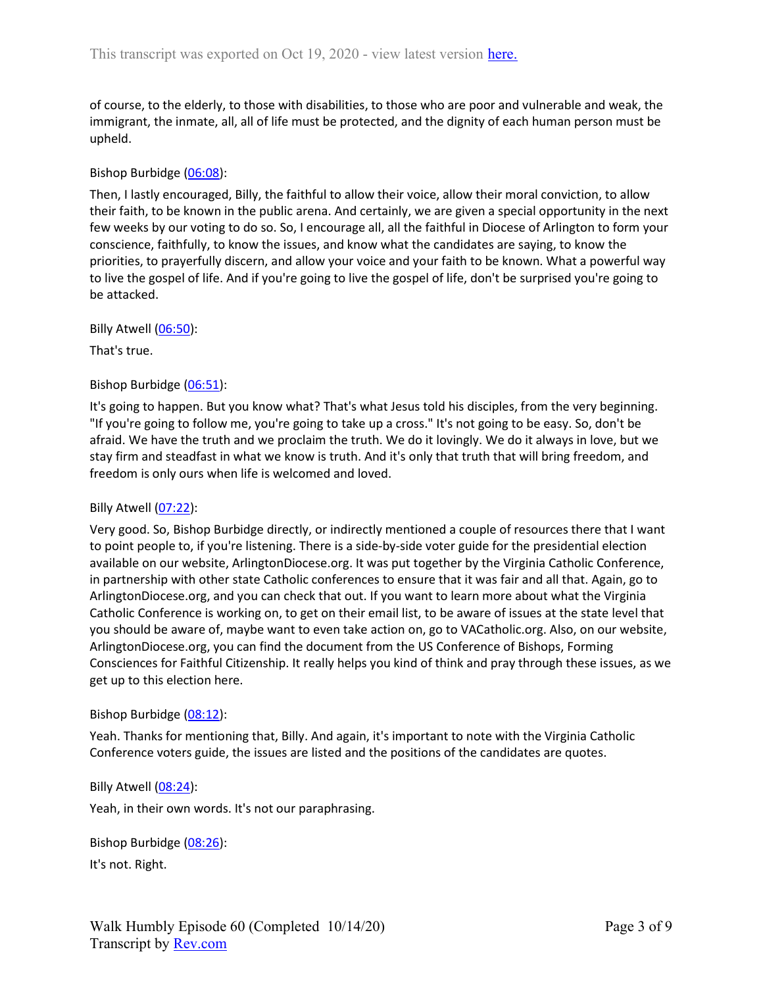of course, to the elderly, to those with disabilities, to those who are poor and vulnerable and weak, the immigrant, the inmate, all, all of life must be protected, and the dignity of each human person must be upheld.

## Bishop Burbidge (06:08):

Then, I lastly encouraged, Billy, the faithful to allow their voice, allow their moral conviction, to allow their faith, to be known in the public arena. And certainly, we are given a special opportunity in the next few weeks by our voting to do so. So, I encourage all, all the faithful in Diocese of Arlington to form your conscience, faithfully, to know the issues, and know what the candidates are saying, to know the priorities, to prayerfully discern, and allow your voice and your faith to be known. What a powerful way to live the gospel of life. And if you're going to live the gospel of life, don't be surprised you're going to be attacked.

Billy Atwell (06:50):

That's true.

## Bishop Burbidge (06:51):

It's going to happen. But you know what? That's what Jesus told his disciples, from the very beginning. "If you're going to follow me, you're going to take up a cross." It's not going to be easy. So, don't be afraid. We have the truth and we proclaim the truth. We do it lovingly. We do it always in love, but we stay firm and steadfast in what we know is truth. And it's only that truth that will bring freedom, and freedom is only ours when life is welcomed and loved.

## Billy Atwell (07:22):

Very good. So, Bishop Burbidge directly, or indirectly mentioned a couple of resources there that I want to point people to, if you're listening. There is a side-by-side voter guide for the presidential election available on our website, ArlingtonDiocese.org. It was put together by the Virginia Catholic Conference, in partnership with other state Catholic conferences to ensure that it was fair and all that. Again, go to ArlingtonDiocese.org, and you can check that out. If you want to learn more about what the Virginia Catholic Conference is working on, to get on their email list, to be aware of issues at the state level that you should be aware of, maybe want to even take action on, go to VACatholic.org. Also, on our website, ArlingtonDiocese.org, you can find the document from the US Conference of Bishops, Forming Consciences for Faithful Citizenship. It really helps you kind of think and pray through these issues, as we get up to this election here.

#### Bishop Burbidge (08:12):

Yeah. Thanks for mentioning that, Billy. And again, it's important to note with the Virginia Catholic Conference voters guide, the issues are listed and the positions of the candidates are quotes.

#### Billy Atwell (08:24):

Yeah, in their own words. It's not our paraphrasing.

Bishop Burbidge (08:26): It's not. Right.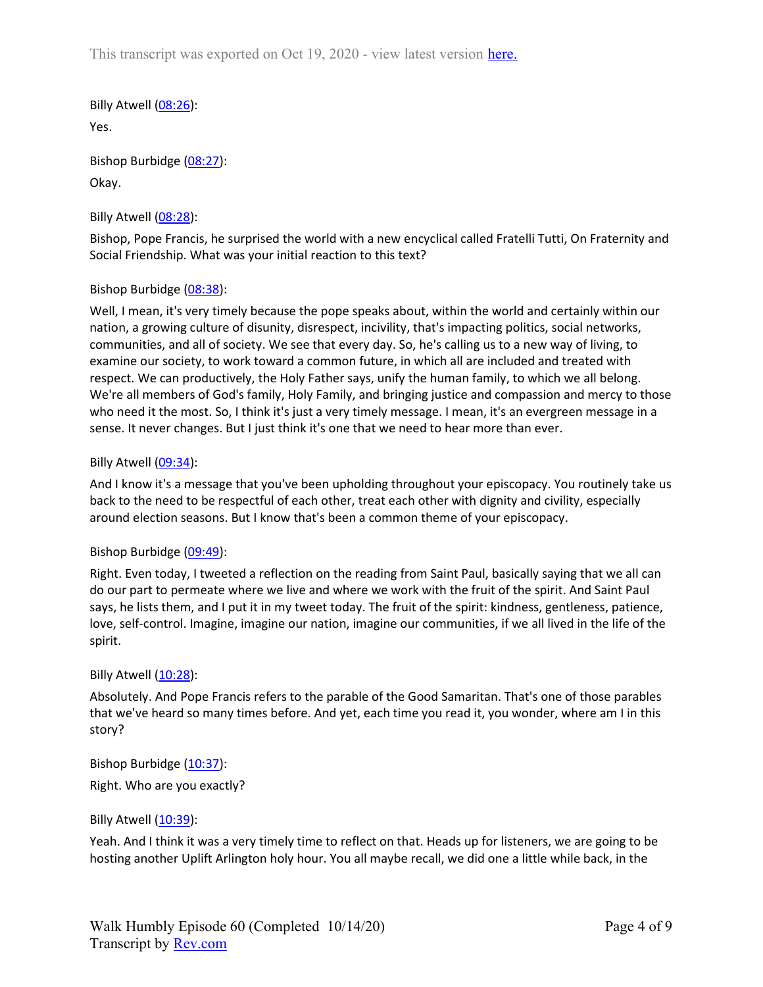This transcript was exported on Oct 19, 2020 - view latest version here.

Billy Atwell (08:26): Yes.

Bishop Burbidge (08:27): Okay.

# Billy Atwell  $(08:28)$ :

Bishop, Pope Francis, he surprised the world with a new encyclical called Fratelli Tutti, On Fraternity and Social Friendship. What was your initial reaction to this text?

# Bishop Burbidge (08:38):

Well, I mean, it's very timely because the pope speaks about, within the world and certainly within our nation, a growing culture of disunity, disrespect, incivility, that's impacting politics, social networks, communities, and all of society. We see that every day. So, he's calling us to a new way of living, to examine our society, to work toward a common future, in which all are included and treated with respect. We can productively, the Holy Father says, unify the human family, to which we all belong. We're all members of God's family, Holy Family, and bringing justice and compassion and mercy to those who need it the most. So, I think it's just a very timely message. I mean, it's an evergreen message in a sense. It never changes. But I just think it's one that we need to hear more than ever.

## Billy Atwell  $(09:34)$ :

And I know it's a message that you've been upholding throughout your episcopacy. You routinely take us back to the need to be respectful of each other, treat each other with dignity and civility, especially around election seasons. But I know that's been a common theme of your episcopacy.

## Bishop Burbidge (09:49):

Right. Even today, I tweeted a reflection on the reading from Saint Paul, basically saying that we all can do our part to permeate where we live and where we work with the fruit of the spirit. And Saint Paul says, he lists them, and I put it in my tweet today. The fruit of the spirit: kindness, gentleness, patience, love, self-control. Imagine, imagine our nation, imagine our communities, if we all lived in the life of the spirit.

## Billy Atwell  $(10:28)$ :

Absolutely. And Pope Francis refers to the parable of the Good Samaritan. That's one of those parables that we've heard so many times before. And yet, each time you read it, you wonder, where am I in this story?

Bishop Burbidge (10:37): Right. Who are you exactly?

## Billy Atwell  $(10:39)$ :

Yeah. And I think it was a very timely time to reflect on that. Heads up for listeners, we are going to be hosting another Uplift Arlington holy hour. You all maybe recall, we did one a little while back, in the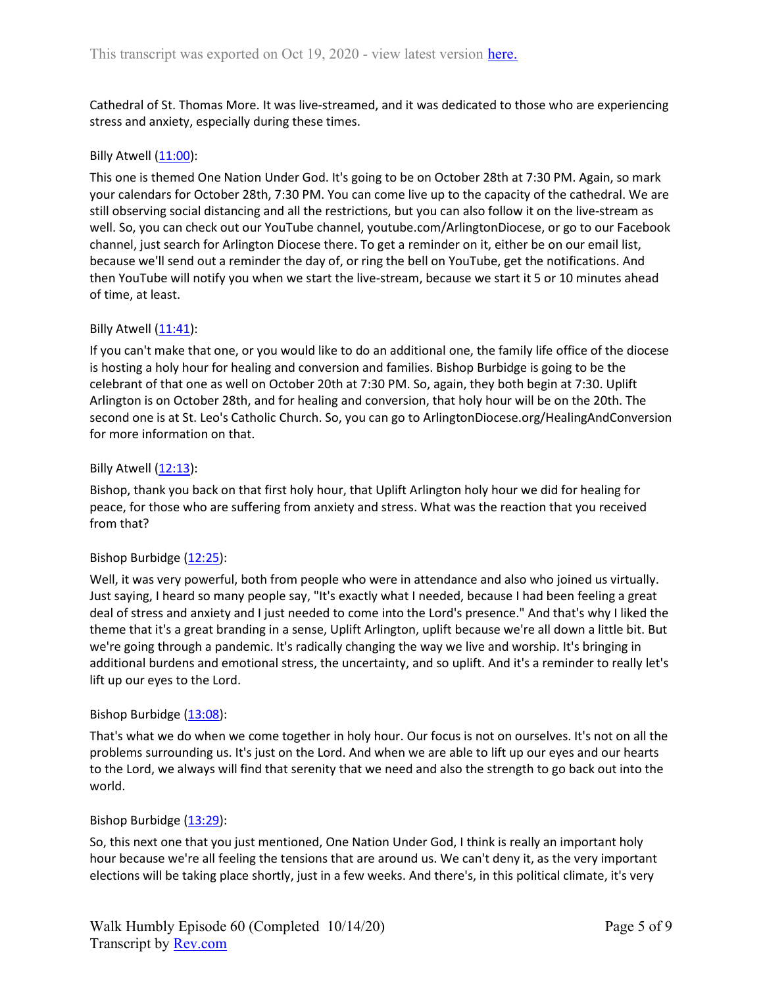Cathedral of St. Thomas More. It was live-streamed, and it was dedicated to those who are experiencing stress and anxiety, especially during these times.

### Billy Atwell  $(11:00)$ :

This one is themed One Nation Under God. It's going to be on October 28th at 7:30 PM. Again, so mark your calendars for October 28th, 7:30 PM. You can come live up to the capacity of the cathedral. We are still observing social distancing and all the restrictions, but you can also follow it on the live-stream as well. So, you can check out our YouTube channel, youtube.com/ArlingtonDiocese, or go to our Facebook channel, just search for Arlington Diocese there. To get a reminder on it, either be on our email list, because we'll send out a reminder the day of, or ring the bell on YouTube, get the notifications. And then YouTube will notify you when we start the live-stream, because we start it 5 or 10 minutes ahead of time, at least.

### Billy Atwell  $(11:41)$ :

If you can't make that one, or you would like to do an additional one, the family life office of the diocese is hosting a holy hour for healing and conversion and families. Bishop Burbidge is going to be the celebrant of that one as well on October 20th at 7:30 PM. So, again, they both begin at 7:30. Uplift Arlington is on October 28th, and for healing and conversion, that holy hour will be on the 20th. The second one is at St. Leo's Catholic Church. So, you can go to ArlingtonDiocese.org/HealingAndConversion for more information on that.

### Billy Atwell (12:13):

Bishop, thank you back on that first holy hour, that Uplift Arlington holy hour we did for healing for peace, for those who are suffering from anxiety and stress. What was the reaction that you received from that?

## Bishop Burbidge (12:25):

Well, it was very powerful, both from people who were in attendance and also who joined us virtually. Just saying, I heard so many people say, "It's exactly what I needed, because I had been feeling a great deal of stress and anxiety and I just needed to come into the Lord's presence." And that's why I liked the theme that it's a great branding in a sense, Uplift Arlington, uplift because we're all down a little bit. But we're going through a pandemic. It's radically changing the way we live and worship. It's bringing in additional burdens and emotional stress, the uncertainty, and so uplift. And it's a reminder to really let's lift up our eyes to the Lord.

#### Bishop Burbidge (13:08):

That's what we do when we come together in holy hour. Our focus is not on ourselves. It's not on all the problems surrounding us. It's just on the Lord. And when we are able to lift up our eyes and our hearts to the Lord, we always will find that serenity that we need and also the strength to go back out into the world.

#### Bishop Burbidge (13:29):

So, this next one that you just mentioned, One Nation Under God, I think is really an important holy hour because we're all feeling the tensions that are around us. We can't deny it, as the very important elections will be taking place shortly, just in a few weeks. And there's, in this political climate, it's very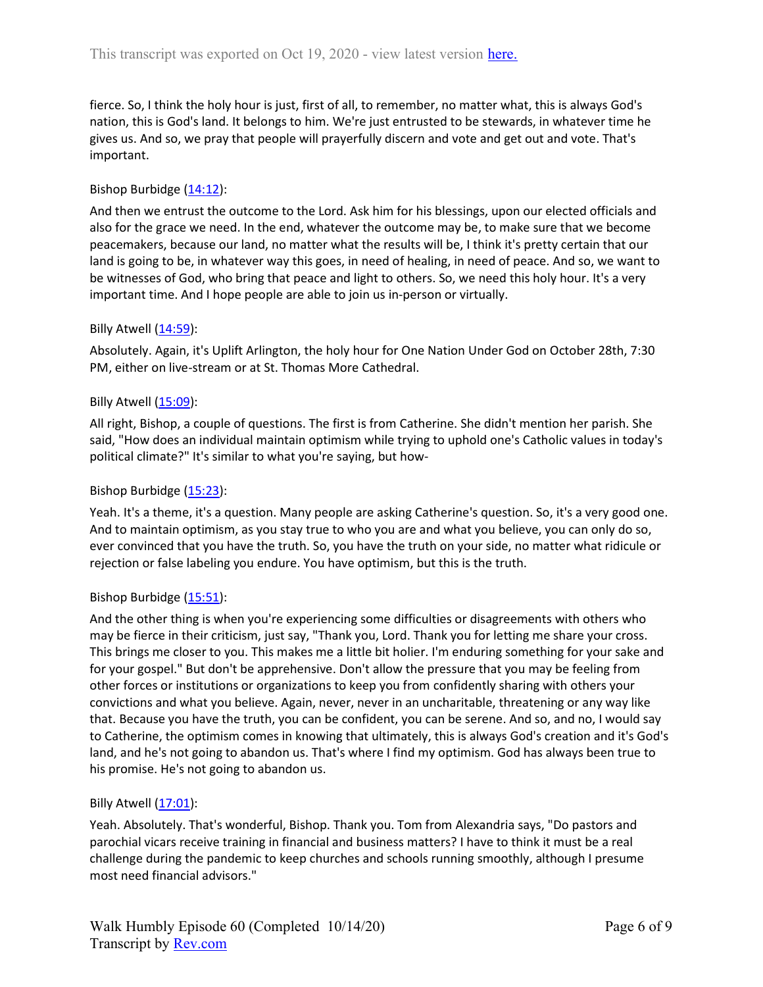fierce. So, I think the holy hour is just, first of all, to remember, no matter what, this is always God's nation, this is God's land. It belongs to him. We're just entrusted to be stewards, in whatever time he gives us. And so, we pray that people will prayerfully discern and vote and get out and vote. That's important.

# Bishop Burbidge (14:12):

And then we entrust the outcome to the Lord. Ask him for his blessings, upon our elected officials and also for the grace we need. In the end, whatever the outcome may be, to make sure that we become peacemakers, because our land, no matter what the results will be, I think it's pretty certain that our land is going to be, in whatever way this goes, in need of healing, in need of peace. And so, we want to be witnesses of God, who bring that peace and light to others. So, we need this holy hour. It's a very important time. And I hope people are able to join us in-person or virtually.

## Billy Atwell  $(14:59)$ :

Absolutely. Again, it's Uplift Arlington, the holy hour for One Nation Under God on October 28th, 7:30 PM, either on live-stream or at St. Thomas More Cathedral.

### Billy Atwell (15:09):

All right, Bishop, a couple of questions. The first is from Catherine. She didn't mention her parish. She said, "How does an individual maintain optimism while trying to uphold one's Catholic values in today's political climate?" It's similar to what you're saying, but how-

### Bishop Burbidge (15:23):

Yeah. It's a theme, it's a question. Many people are asking Catherine's question. So, it's a very good one. And to maintain optimism, as you stay true to who you are and what you believe, you can only do so, ever convinced that you have the truth. So, you have the truth on your side, no matter what ridicule or rejection or false labeling you endure. You have optimism, but this is the truth.

## Bishop Burbidge (15:51):

And the other thing is when you're experiencing some difficulties or disagreements with others who may be fierce in their criticism, just say, "Thank you, Lord. Thank you for letting me share your cross. This brings me closer to you. This makes me a little bit holier. I'm enduring something for your sake and for your gospel." But don't be apprehensive. Don't allow the pressure that you may be feeling from other forces or institutions or organizations to keep you from confidently sharing with others your convictions and what you believe. Again, never, never in an uncharitable, threatening or any way like that. Because you have the truth, you can be confident, you can be serene. And so, and no, I would say to Catherine, the optimism comes in knowing that ultimately, this is always God's creation and it's God's land, and he's not going to abandon us. That's where I find my optimism. God has always been true to his promise. He's not going to abandon us.

### Billy Atwell  $(17:01)$ :

Yeah. Absolutely. That's wonderful, Bishop. Thank you. Tom from Alexandria says, "Do pastors and parochial vicars receive training in financial and business matters? I have to think it must be a real challenge during the pandemic to keep churches and schools running smoothly, although I presume most need financial advisors."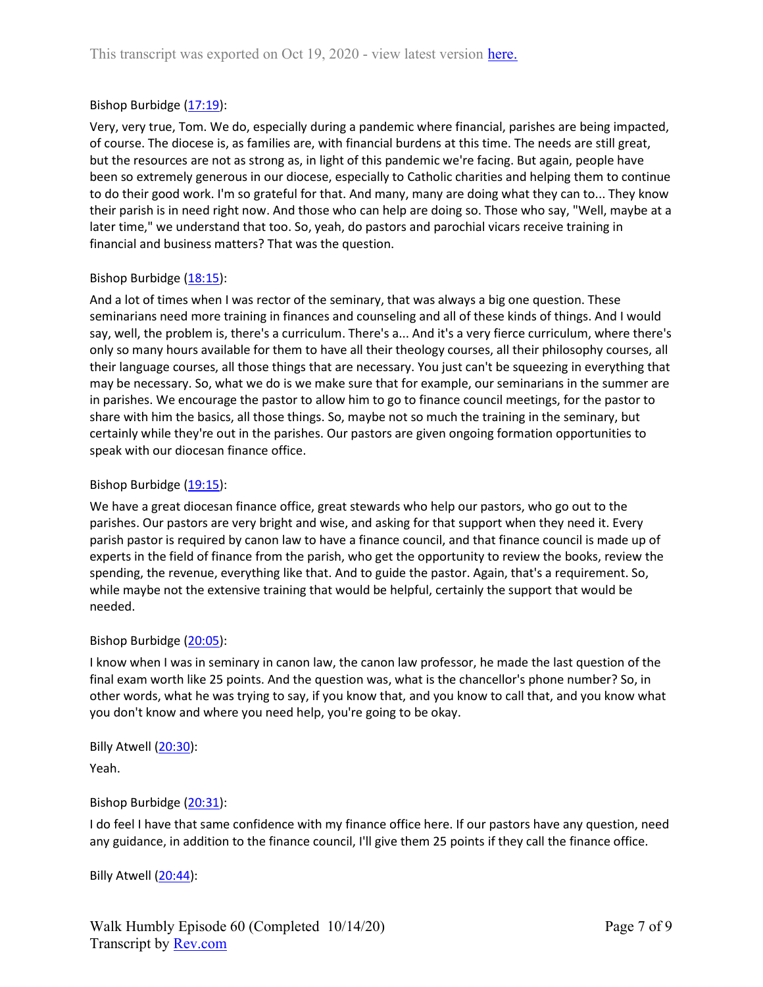# Bishop Burbidge  $(17:19)$ :

Very, very true, Tom. We do, especially during a pandemic where financial, parishes are being impacted, of course. The diocese is, as families are, with financial burdens at this time. The needs are still great, but the resources are not as strong as, in light of this pandemic we're facing. But again, people have been so extremely generous in our diocese, especially to Catholic charities and helping them to continue to do their good work. I'm so grateful for that. And many, many are doing what they can to... They know their parish is in need right now. And those who can help are doing so. Those who say, "Well, maybe at a later time," we understand that too. So, yeah, do pastors and parochial vicars receive training in financial and business matters? That was the question.

## Bishop Burbidge (18:15):

And a lot of times when I was rector of the seminary, that was always a big one question. These seminarians need more training in finances and counseling and all of these kinds of things. And I would say, well, the problem is, there's a curriculum. There's a... And it's a very fierce curriculum, where there's only so many hours available for them to have all their theology courses, all their philosophy courses, all their language courses, all those things that are necessary. You just can't be squeezing in everything that may be necessary. So, what we do is we make sure that for example, our seminarians in the summer are in parishes. We encourage the pastor to allow him to go to finance council meetings, for the pastor to share with him the basics, all those things. So, maybe not so much the training in the seminary, but certainly while they're out in the parishes. Our pastors are given ongoing formation opportunities to speak with our diocesan finance office.

## Bishop Burbidge (19:15):

We have a great diocesan finance office, great stewards who help our pastors, who go out to the parishes. Our pastors are very bright and wise, and asking for that support when they need it. Every parish pastor is required by canon law to have a finance council, and that finance council is made up of experts in the field of finance from the parish, who get the opportunity to review the books, review the spending, the revenue, everything like that. And to guide the pastor. Again, that's a requirement. So, while maybe not the extensive training that would be helpful, certainly the support that would be needed.

## Bishop Burbidge (20:05):

I know when I was in seminary in canon law, the canon law professor, he made the last question of the final exam worth like 25 points. And the question was, what is the chancellor's phone number? So, in other words, what he was trying to say, if you know that, and you know to call that, and you know what you don't know and where you need help, you're going to be okay.

# Billy Atwell (20:30):

Yeah.

## Bishop Burbidge (20:31):

I do feel I have that same confidence with my finance office here. If our pastors have any question, need any guidance, in addition to the finance council, I'll give them 25 points if they call the finance office.

Billy Atwell (20:44):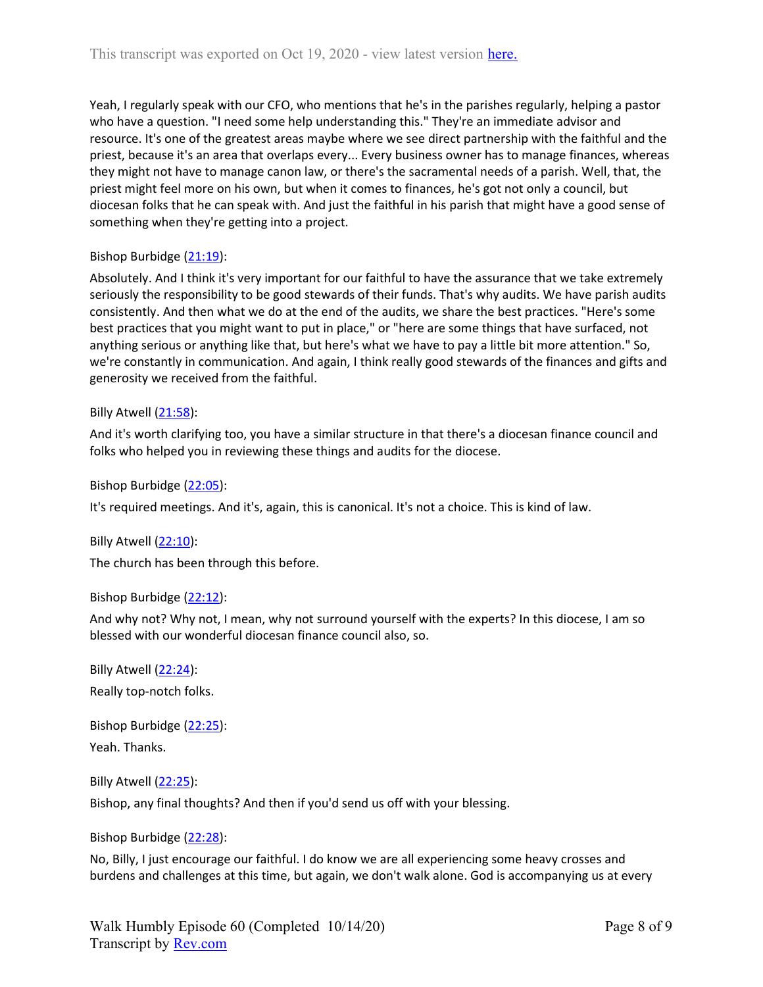Yeah, I regularly speak with our CFO, who mentions that he's in the parishes regularly, helping a pastor who have a question. "I need some help understanding this." They're an immediate advisor and resource. It's one of the greatest areas maybe where we see direct partnership with the faithful and the priest, because it's an area that overlaps every... Every business owner has to manage finances, whereas they might not have to manage canon law, or there's the sacramental needs of a parish. Well, that, the priest might feel more on his own, but when it comes to finances, he's got not only a council, but diocesan folks that he can speak with. And just the faithful in his parish that might have a good sense of something when they're getting into a project.

## Bishop Burbidge (21:19):

Absolutely. And I think it's very important for our faithful to have the assurance that we take extremely seriously the responsibility to be good stewards of their funds. That's why audits. We have parish audits consistently. And then what we do at the end of the audits, we share the best practices. "Here's some best practices that you might want to put in place," or "here are some things that have surfaced, not anything serious or anything like that, but here's what we have to pay a little bit more attention." So, we're constantly in communication. And again, I think really good stewards of the finances and gifts and generosity we received from the faithful.

## Billy Atwell (21:58):

And it's worth clarifying too, you have a similar structure in that there's a diocesan finance council and folks who helped you in reviewing these things and audits for the diocese.

Bishop Burbidge (22:05):

It's required meetings. And it's, again, this is canonical. It's not a choice. This is kind of law.

Billy Atwell  $(22:10)$ : The church has been through this before.

Bishop Burbidge (22:12):

And why not? Why not, I mean, why not surround yourself with the experts? In this diocese, I am so blessed with our wonderful diocesan finance council also, so.

Billy Atwell (22:24): Really top-notch folks.

Bishop Burbidge (22:25):

Yeah. Thanks.

Billy Atwell (22:25):

Bishop, any final thoughts? And then if you'd send us off with your blessing.

Bishop Burbidge (22:28):

No, Billy, I just encourage our faithful. I do know we are all experiencing some heavy crosses and burdens and challenges at this time, but again, we don't walk alone. God is accompanying us at every